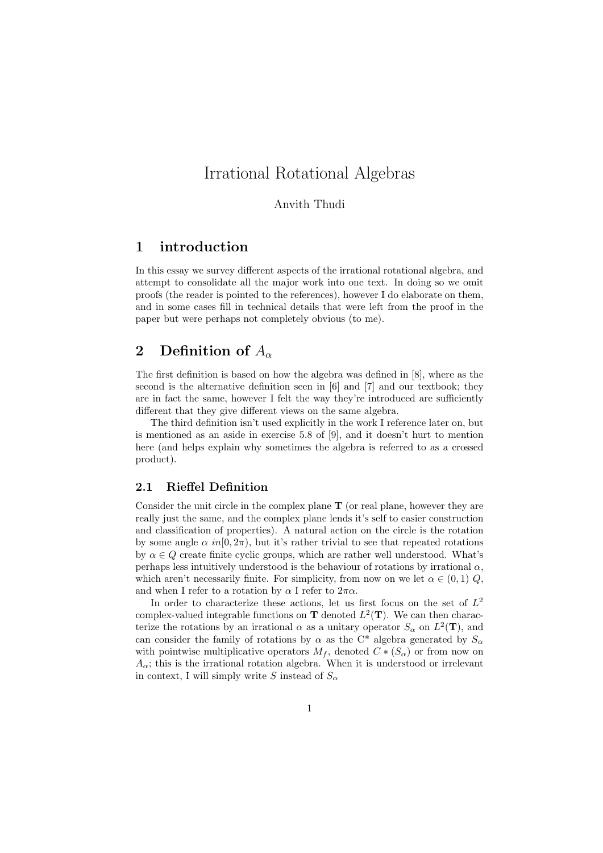# Irrational Rotational Algebras

### Anvith Thudi

### 1 introduction

In this essay we survey different aspects of the irrational rotational algebra, and attempt to consolidate all the major work into one text. In doing so we omit proofs (the reader is pointed to the references), however I do elaborate on them, and in some cases fill in technical details that were left from the proof in the paper but were perhaps not completely obvious (to me).

### 2 Definition of  $A_{\alpha}$

The first definition is based on how the algebra was defined in [8], where as the second is the alternative definition seen in [6] and [7] and our textbook; they are in fact the same, however I felt the way they're introduced are sufficiently different that they give different views on the same algebra.

The third definition isn't used explicitly in the work I reference later on, but is mentioned as an aside in exercise 5.8 of [9], and it doesn't hurt to mention here (and helps explain why sometimes the algebra is referred to as a crossed product).

### 2.1 Rieffel Definition

Consider the unit circle in the complex plane  $T$  (or real plane, however they are really just the same, and the complex plane lends it's self to easier construction and classification of properties). A natural action on the circle is the rotation by some angle  $\alpha$  in  $[0, 2\pi)$ , but it's rather trivial to see that repeated rotations by  $\alpha \in Q$  create finite cyclic groups, which are rather well understood. What's perhaps less intuitively understood is the behaviour of rotations by irrational  $\alpha$ , which aren't necessarily finite. For simplicity, from now on we let  $\alpha \in (0,1)$  Q. and when I refer to a rotation by  $\alpha$  I refer to  $2\pi\alpha$ .

In order to characterize these actions, let us first focus on the set of  $L^2$ complex-valued integrable functions on **T** denoted  $L^2(\mathbf{T})$ . We can then characterize the rotations by an irrational  $\alpha$  as a unitary operator  $S_{\alpha}$  on  $L^2(\mathbf{T})$ , and can consider the family of rotations by  $\alpha$  as the C<sup>\*</sup> algebra generated by  $S_{\alpha}$ with pointwise multiplicative operators  $M_f$ , denoted  $C * (S_\alpha)$  or from now on  $A_{\alpha}$ ; this is the irrational rotation algebra. When it is understood or irrelevant in context, I will simply write S instead of  $S_{\alpha}$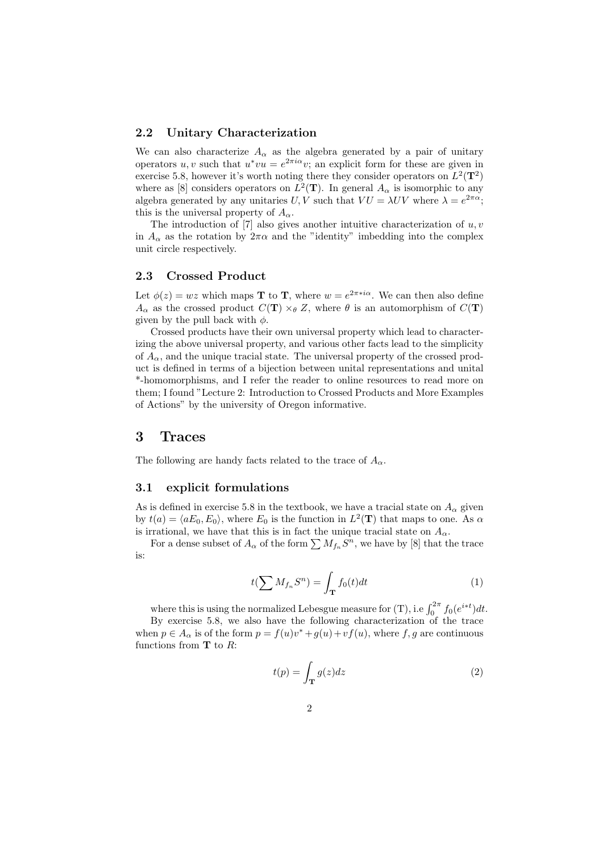#### 2.2 Unitary Characterization

We can also characterize  $A_{\alpha}$  as the algebra generated by a pair of unitary operators u, v such that  $u^*vu = e^{2\pi i\alpha}v$ ; an explicit form for these are given in exercise 5.8, however it's worth noting there they consider operators on  $L^2(\mathbf{T}^2)$ where as [8] considers operators on  $L^2(\mathbf{T})$ . In general  $A_{\alpha}$  is isomorphic to any algebra generated by any unitaries  $U, V$  such that  $VU = \lambda UV$  where  $\lambda = e^{2\pi\alpha}$ ; this is the universal property of  $A_{\alpha}$ .

The introduction of  $[7]$  also gives another intuitive characterization of  $u, v$ in  $A_{\alpha}$  as the rotation by  $2\pi\alpha$  and the "identity" imbedding into the complex unit circle respectively.

#### 2.3 Crossed Product

Let  $\phi(z) = wz$  which maps **T** to **T**, where  $w = e^{2\pi i \alpha}$ . We can then also define  $A_{\alpha}$  as the crossed product  $C(\mathbf{T}) \times_{\theta} Z$ , where  $\theta$  is an automorphism of  $C(\mathbf{T})$ given by the pull back with  $\phi$ .

Crossed products have their own universal property which lead to characterizing the above universal property, and various other facts lead to the simplicity of  $A_{\alpha}$ , and the unique tracial state. The universal property of the crossed product is defined in terms of a bijection between unital representations and unital \*-homomorphisms, and I refer the reader to online resources to read more on them; I found "Lecture 2: Introduction to Crossed Products and More Examples of Actions" by the university of Oregon informative.

### 3 Traces

The following are handy facts related to the trace of  $A_{\alpha}$ .

#### 3.1 explicit formulations

As is defined in exercise 5.8 in the textbook, we have a tracial state on  $A_{\alpha}$  given by  $t(a) = \langle aE_0, E_0 \rangle$ , where  $E_0$  is the function in  $L^2(\mathbf{T})$  that maps to one. As  $\alpha$ is irrational, we have that this is in fact the unique tracial state on  $A_{\alpha}$ .

For a dense subset of  $A_{\alpha}$  of the form  $\sum M_{f_n} S^n$ , we have by [8] that the trace is:

$$
t(\sum M_{f_n} S^n) = \int_{\mathbf{T}} f_0(t) dt \tag{1}
$$

where this is using the normalized Lebesgue measure for (T), i.e  $\int_0^{2\pi} f_0(e^{i\ast t}) dt$ . By exercise 5.8, we also have the following characterization of the trace when  $p \in A_{\alpha}$  is of the form  $p = f(u)v^* + g(u) + vf(u)$ , where  $f, g$  are continuous functions from  $\mathbf T$  to  $R$ :

$$
t(p) = \int_{\mathbf{T}} g(z)dz
$$
 (2)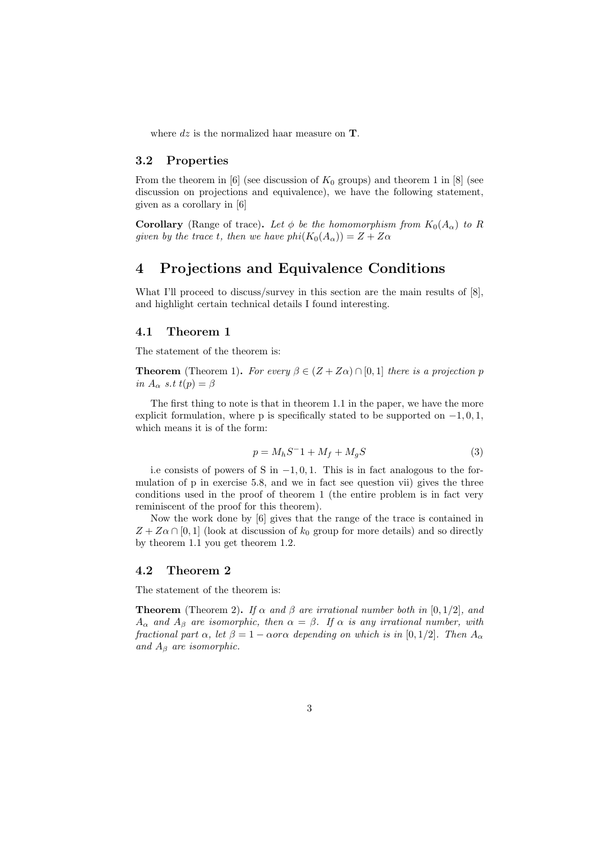where  $dz$  is the normalized haar measure on **T**.

#### 3.2 Properties

From the theorem in [6] (see discussion of  $K_0$  groups) and theorem 1 in [8] (see discussion on projections and equivalence), we have the following statement, given as a corollary in [6]

**Corollary** (Range of trace). Let  $\phi$  be the homomorphism from  $K_0(A_\alpha)$  to R qiven by the trace t, then we have  $phi(K_0(A_\alpha)) = Z + Z\alpha$ 

### 4 Projections and Equivalence Conditions

What I'll proceed to discuss/survey in this section are the main results of [8], and highlight certain technical details I found interesting.

#### 4.1 Theorem 1

The statement of the theorem is:

**Theorem** (Theorem 1). For every  $\beta \in (Z + Z\alpha) \cap [0, 1]$  there is a projection p in  $A_{\alpha}$  s.t  $t(p) = \beta$ 

The first thing to note is that in theorem 1.1 in the paper, we have the more explicit formulation, where p is specifically stated to be supported on  $-1, 0, 1$ , which means it is of the form:

$$
p = M_h S^{-1} + M_f + M_g S \tag{3}
$$

i.e consists of powers of S in  $-1, 0, 1$ . This is in fact analogous to the formulation of p in exercise 5.8, and we in fact see question vii) gives the three conditions used in the proof of theorem 1 (the entire problem is in fact very reminiscent of the proof for this theorem).

Now the work done by [6] gives that the range of the trace is contained in  $Z + Z\alpha \cap [0,1]$  (look at discussion of  $k_0$  group for more details) and so directly by theorem 1.1 you get theorem 1.2.

#### 4.2 Theorem 2

The statement of the theorem is:

**Theorem** (Theorem 2). If  $\alpha$  and  $\beta$  are irrational number both in [0, 1/2], and  $A_{\alpha}$  and  $A_{\beta}$  are isomorphic, then  $\alpha = \beta$ . If  $\alpha$  is any irrational number, with fractional part  $\alpha$ , let  $\beta = 1 - \alpha$ or $\alpha$  depending on which is in [0,1/2]. Then  $A_{\alpha}$ and  $A_\beta$  are isomorphic.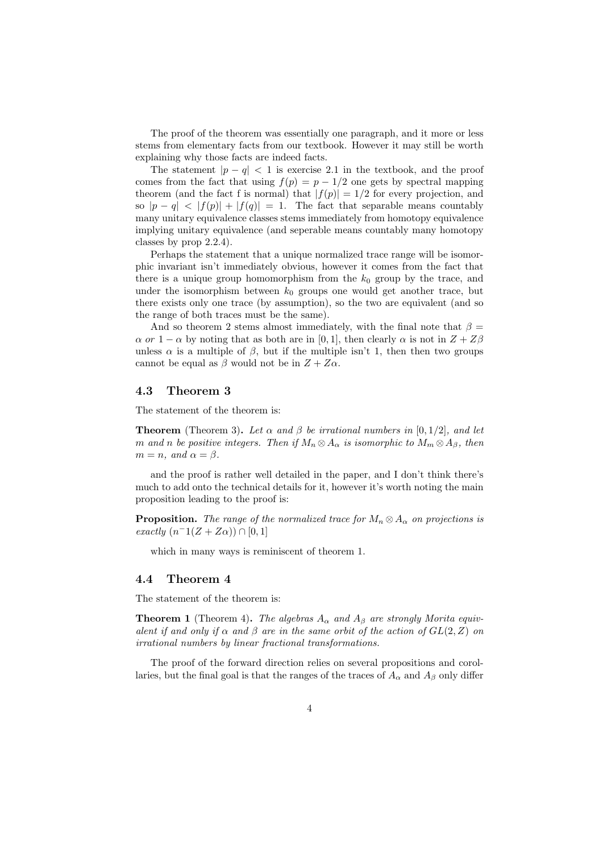The proof of the theorem was essentially one paragraph, and it more or less stems from elementary facts from our textbook. However it may still be worth explaining why those facts are indeed facts.

The statement  $|p - q| < 1$  is exercise 2.1 in the textbook, and the proof comes from the fact that using  $f(p) = p - 1/2$  one gets by spectral mapping theorem (and the fact f is normal) that  $|f(p)| = 1/2$  for every projection, and so  $|p - q| < |f(p)| + |f(q)| = 1$ . The fact that separable means countably many unitary equivalence classes stems immediately from homotopy equivalence implying unitary equivalence (and seperable means countably many homotopy classes by prop 2.2.4).

Perhaps the statement that a unique normalized trace range will be isomorphic invariant isn't immediately obvious, however it comes from the fact that there is a unique group homomorphism from the  $k_0$  group by the trace, and under the isomorphism between  $k_0$  groups one would get another trace, but there exists only one trace (by assumption), so the two are equivalent (and so the range of both traces must be the same).

And so theorem 2 stems almost immediately, with the final note that  $\beta =$  $\alpha$  or  $1 - \alpha$  by noting that as both are in [0, 1], then clearly  $\alpha$  is not in  $Z + Z\beta$ unless  $\alpha$  is a multiple of  $\beta$ , but if the multiple isn't 1, then then two groups cannot be equal as  $\beta$  would not be in  $Z + Z\alpha$ .

#### 4.3 Theorem 3

The statement of the theorem is:

**Theorem** (Theorem 3). Let  $\alpha$  and  $\beta$  be irrational numbers in [0, 1/2], and let m and n be positive integers. Then if  $M_n \otimes A_{\alpha}$  is isomorphic to  $M_m \otimes A_{\beta}$ , then  $m = n$ , and  $\alpha = \beta$ .

and the proof is rather well detailed in the paper, and I don't think there's much to add onto the technical details for it, however it's worth noting the main proposition leading to the proof is:

**Proposition.** The range of the normalized trace for  $M_n \otimes A_\alpha$  on projections is exactly  $(n-1(Z+Z\alpha)) \cap [0,1]$ 

which in many ways is reminiscent of theorem 1.

#### 4.4 Theorem 4

The statement of the theorem is:

**Theorem 1** (Theorem 4). The algebras  $A_{\alpha}$  and  $A_{\beta}$  are strongly Morita equivalent if and only if  $\alpha$  and  $\beta$  are in the same orbit of the action of  $GL(2, Z)$  on irrational numbers by linear fractional transformations.

The proof of the forward direction relies on several propositions and corollaries, but the final goal is that the ranges of the traces of  $A_{\alpha}$  and  $A_{\beta}$  only differ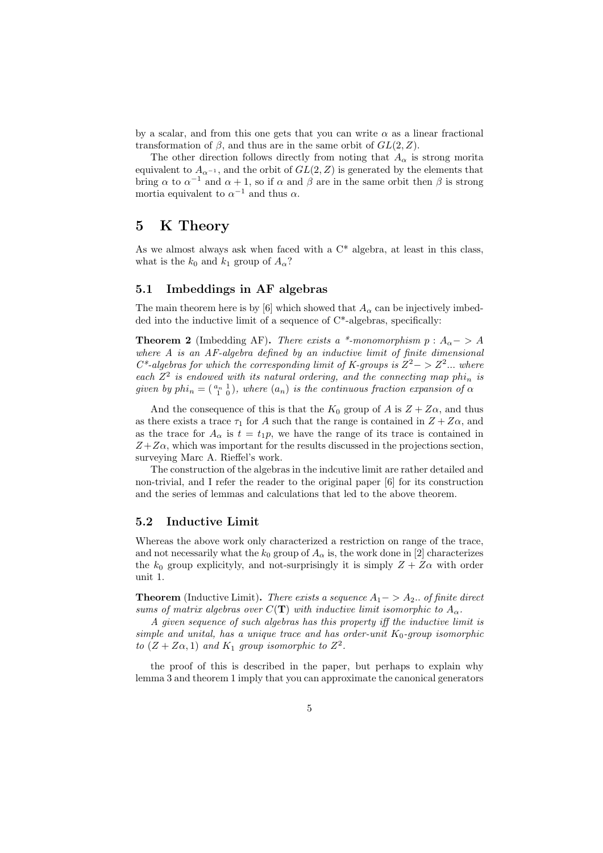by a scalar, and from this one gets that you can write  $\alpha$  as a linear fractional transformation of  $\beta$ , and thus are in the same orbit of  $GL(2, Z)$ .

The other direction follows directly from noting that  $A_{\alpha}$  is strong morita equivalent to  $A_{\alpha^{-1}}$ , and the orbit of  $GL(2, Z)$  is generated by the elements that bring  $\alpha$  to  $\alpha^{-1}$  and  $\alpha + 1$ , so if  $\alpha$  and  $\beta$  are in the same orbit then  $\beta$  is strong mortia equivalent to  $\alpha^{-1}$  and thus  $\alpha$ .

### 5 K Theory

As we almost always ask when faced with a C\* algebra, at least in this class, what is the  $k_0$  and  $k_1$  group of  $A_{\alpha}$ ?

#### 5.1 Imbeddings in AF algebras

The main theorem here is by [6] which showed that  $A_{\alpha}$  can be injectively imbedded into the inductive limit of a sequence of C\*-algebras, specifically:

**Theorem 2** (Imbedding AF). There exists a \*-monomorphism  $p : A_{\alpha} \rightarrow A$ where A is an AF-algebra defined by an inductive limit of finite dimensional  $C^*$ -algebras for which the corresponding limit of K-groups is  $Z^2 - > Z^2...$  where each  $Z^2$  is endowed with its natural ordering, and the connecting map  $phi_n$  is given by  $phi_n = \begin{pmatrix} a_n & 1 \\ 1 & 0 \end{pmatrix}$ , where  $(a_n)$  is the continuous fraction expansion of  $\alpha$ 

And the consequence of this is that the  $K_0$  group of A is  $Z + Z\alpha$ , and thus as there exists a trace  $\tau_1$  for A such that the range is contained in  $Z + Z\alpha$ , and as the trace for  $A_{\alpha}$  is  $t = t_1p$ , we have the range of its trace is contained in  $Z+Z\alpha$ , which was important for the results discussed in the projections section. surveying Marc A. Rieffel's work.

The construction of the algebras in the indcutive limit are rather detailed and non-trivial, and I refer the reader to the original paper [6] for its construction and the series of lemmas and calculations that led to the above theorem.

#### 5.2 Inductive Limit

Whereas the above work only characterized a restriction on range of the trace, and not necessarily what the  $k_0$  group of  $A_\alpha$  is, the work done in [2] characterizes the  $k_0$  group explicityly, and not-surprisingly it is simply  $Z + Z\alpha$  with order unit 1.

**Theorem** (Inductive Limit). There exists a sequence  $A_1$  – >  $A_2$ . of finite direct sums of matrix algebras over  $C(T)$  with inductive limit isomorphic to  $A_{\alpha}$ .

A given sequence of such algebras has this property iff the inductive limit is simple and unital, has a unique trace and has order-unit  $K_0$ -group isomorphic to  $(Z + Z\alpha, 1)$  and  $K_1$  group isomorphic to  $Z^2$ .

the proof of this is described in the paper, but perhaps to explain why lemma 3 and theorem 1 imply that you can approximate the canonical generators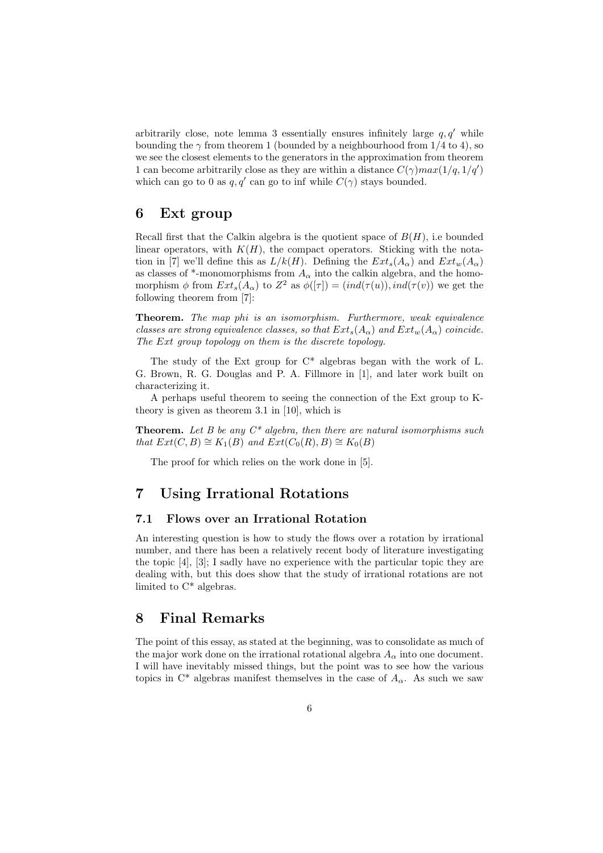arbitrarily close, note lemma 3 essentially ensures infinitely large  $q, q'$  while bounding the  $\gamma$  from theorem 1 (bounded by a neighbourhood from 1/4 to 4), so we see the closest elements to the generators in the approximation from theorem 1 can become arbitrarily close as they are within a distance  $C(\gamma) max(1/q, 1/q')$ which can go to 0 as  $q, q'$  can go to inf while  $C(\gamma)$  stays bounded.

### 6 Ext group

Recall first that the Calkin algebra is the quotient space of  $B(H)$ , i.e bounded linear operators, with  $K(H)$ , the compact operators. Sticking with the notation in [7] we'll define this as  $L/k(H)$ . Defining the  $Ext_s(A_\alpha)$  and  $Ext_w(A_\alpha)$ as classes of \*-monomorphisms from  $A_{\alpha}$  into the calkin algebra, and the homomorphism  $\phi$  from  $Ext_s(A_\alpha)$  to  $Z^2$  as  $\phi([\tau]) = (ind(\tau(u)), ind(\tau(v))$  we get the following theorem from [7]:

**Theorem.** The map phi is an isomorphism. Furthermore, weak equivalence classes are strong equivalence classes, so that  $Ext_s(A_\alpha)$  and  $Ext_w(A_\alpha)$  coincide. The Ext group topology on them is the discrete topology.

The study of the Ext group for  $C^*$  algebras began with the work of L. G. Brown, R. G. Douglas and P. A. Fillmore in [1], and later work built on characterizing it.

A perhaps useful theorem to seeing the connection of the Ext group to Ktheory is given as theorem 3.1 in [10], which is

**Theorem.** Let B be any  $C^*$  algebra, then there are natural isomorphisms such that  $Ext(C, B) \cong K_1(B)$  and  $Ext(C_0(R), B) \cong K_0(B)$ 

The proof for which relies on the work done in [5].

## 7 Using Irrational Rotations

#### 7.1 Flows over an Irrational Rotation

An interesting question is how to study the flows over a rotation by irrational number, and there has been a relatively recent body of literature investigating the topic  $[4]$ ,  $[3]$ ; I sadly have no experience with the particular topic they are dealing with, but this does show that the study of irrational rotations are not limited to C\* algebras.

# 8 Final Remarks

The point of this essay, as stated at the beginning, was to consolidate as much of the major work done on the irrational rotational algebra  $A_{\alpha}$  into one document. I will have inevitably missed things, but the point was to see how the various topics in  $\mathbb{C}^*$  algebras manifest themselves in the case of  $A_\alpha$ . As such we saw